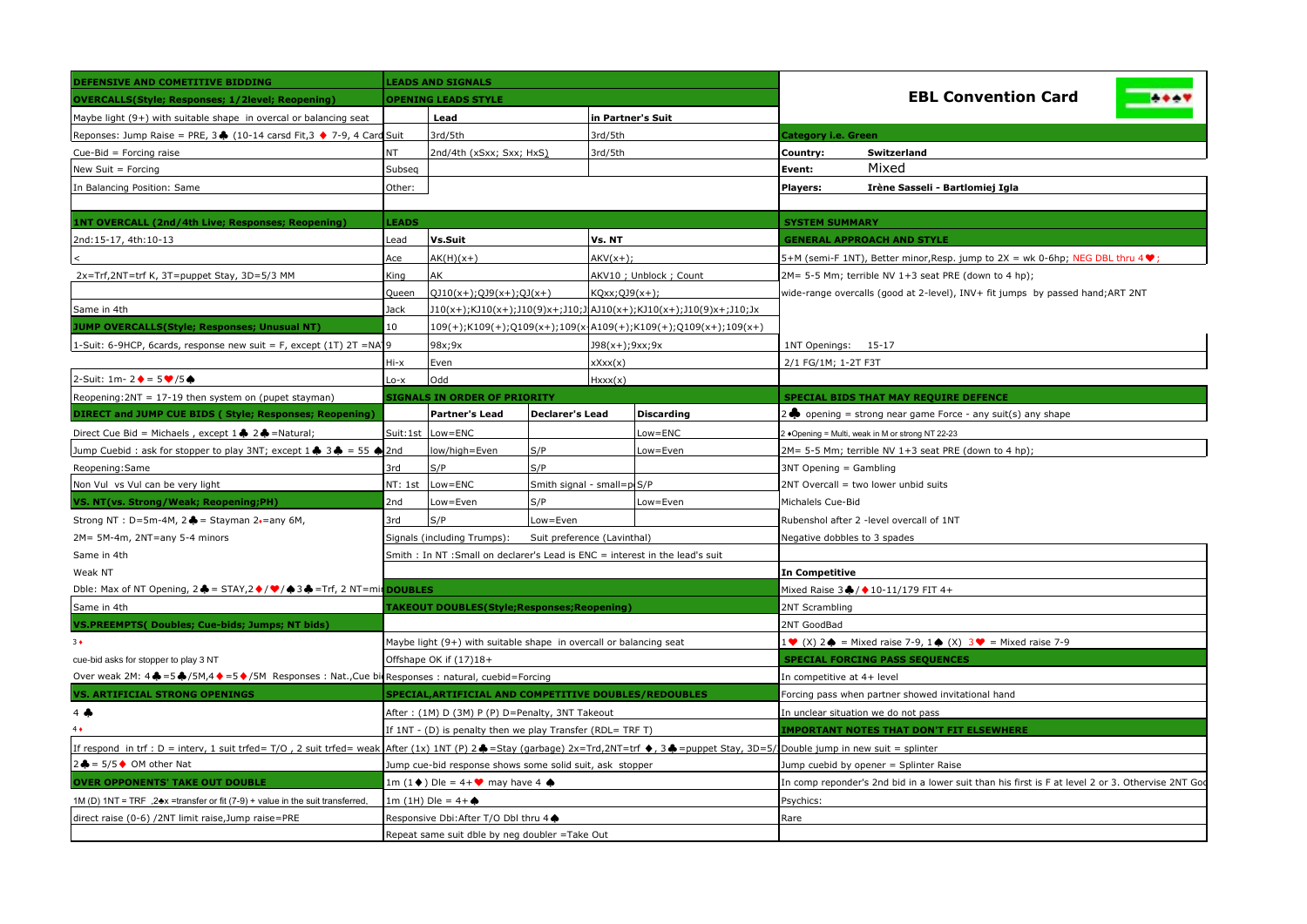| DEFENSIVE AND COMETITIVE BIDDING                                                                                                                    |                            | <b>LEADS AND SIGNALS</b>                                                                                                                                                                |                             |                                                                   |                                                                               |                                                                                                   |  |  |
|-----------------------------------------------------------------------------------------------------------------------------------------------------|----------------------------|-----------------------------------------------------------------------------------------------------------------------------------------------------------------------------------------|-----------------------------|-------------------------------------------------------------------|-------------------------------------------------------------------------------|---------------------------------------------------------------------------------------------------|--|--|
| <b>OVERCALLS(Style; Responses; 1/2level; Reopening)</b>                                                                                             | <b>OPENING LEADS STYLE</b> |                                                                                                                                                                                         |                             |                                                                   |                                                                               | <b>EBL Convention Card</b>                                                                        |  |  |
| Maybe light $(9+)$ with suitable shape in overcal or balancing seat                                                                                 |                            | Lead                                                                                                                                                                                    |                             | in Partner's Suit                                                 |                                                                               |                                                                                                   |  |  |
| Reponses: Jump Raise = PRE, 3+ (10-14 carsd Fit, 3 + 7-9, 4 Card Suit                                                                               |                            | 3rd/5th                                                                                                                                                                                 |                             | 3rd/5th                                                           |                                                                               | Category i.e. Green                                                                               |  |  |
| Cue-Bid = Forcing raise                                                                                                                             | NT.                        | 2nd/4th (xSxx; Sxx; HxS)                                                                                                                                                                |                             | 3rd/5th                                                           |                                                                               | Switzerland<br>Country:                                                                           |  |  |
| New Suit = Forcing                                                                                                                                  | Subseq                     |                                                                                                                                                                                         |                             |                                                                   |                                                                               | Mixed<br>Event:                                                                                   |  |  |
| In Balancing Position: Same                                                                                                                         | Other:                     |                                                                                                                                                                                         |                             |                                                                   |                                                                               | <b>Players:</b><br>Irène Sasseli - Bartlomiej Igla                                                |  |  |
|                                                                                                                                                     |                            |                                                                                                                                                                                         |                             |                                                                   |                                                                               |                                                                                                   |  |  |
| 1NT OVERCALL (2nd/4th Live; Responses; Reopening)                                                                                                   | <b>LEADS</b>               |                                                                                                                                                                                         |                             |                                                                   |                                                                               | <b>SYSTEM SUMMARY</b>                                                                             |  |  |
| 2nd:15-17, 4th:10-13                                                                                                                                | Lead                       | Vs.Suit                                                                                                                                                                                 |                             | Vs. NT                                                            |                                                                               | <b>GENERAL APPROACH AND STYLE</b>                                                                 |  |  |
|                                                                                                                                                     | Ace                        | $AK(H)(x+)$                                                                                                                                                                             |                             | $AKV(x+)$ ;                                                       |                                                                               | 5+M (semi-F 1NT), Better minor,Resp. jump to 2X = wk 0-6hp; NEG DBL thru 4 $\blacktriangledown$ ; |  |  |
| 2x=Trf,2NT=trf K, 3T=puppet Stay, 3D=5/3 MM                                                                                                         | King                       | AK                                                                                                                                                                                      |                             |                                                                   | AKV10 ; Unblock ; Count                                                       | 2M= 5-5 Mm; terrible NV 1+3 seat PRE (down to 4 hp);                                              |  |  |
|                                                                                                                                                     | Queen                      | $QJ10(x+)$ ; $QJ9(x+)$ ; $QJ(x+)$<br>KQxx;QJ9(x+);                                                                                                                                      |                             |                                                                   | wide-range overcalls (good at 2-level), INV+ fit jumps by passed hand;ART 2NT |                                                                                                   |  |  |
| Same in 4th                                                                                                                                         | Jack                       |                                                                                                                                                                                         |                             | J10(x+);KJ10(x+);J10(9)x+;J10;J AJ10(x+);KJ10(x+);J10(9)x+;J10;Jx |                                                                               |                                                                                                   |  |  |
| <b>JUMP OVERCALLS(Style; Responses; Unusual NT)</b>                                                                                                 | 10                         |                                                                                                                                                                                         |                             |                                                                   | 109(+);K109(+);Q109(x+);109(x-A109(+);K109(+);Q109(x+);109(x+)                |                                                                                                   |  |  |
| 1-Suit: 6-9HCP, 6cards, response new suit = F, except (1T) 2T = NA19                                                                                |                            | 98x;9x<br>J98(x+);9xx;9x                                                                                                                                                                |                             |                                                                   | 1NT Openings: 15-17                                                           |                                                                                                   |  |  |
|                                                                                                                                                     | $Hi-x$                     | Even<br>xXxx(x)                                                                                                                                                                         |                             |                                                                   | 2/1 FG/1M; 1-2T F3T                                                           |                                                                                                   |  |  |
| 2-Suit: 1m- 2 $\blacklozenge$ = 5 $\blacktriangledown$ /5 $\spadesuit$                                                                              | $-0-X$                     | Odd                                                                                                                                                                                     |                             | Hxxx(x)                                                           |                                                                               |                                                                                                   |  |  |
| Reopening: 2NT = 17-19 then system on (pupet stayman)                                                                                               |                            | <b>SIGNALS IN ORDER OF PRIORITY</b>                                                                                                                                                     |                             |                                                                   |                                                                               | SPECIAL BIDS THAT MAY REQUIRE DEFENCE                                                             |  |  |
| DIRECT and JUMP CUE BIDS (Style; Responses; Reopening)                                                                                              |                            | <b>Partner's Lead</b>                                                                                                                                                                   | <b>Declarer's Lead</b>      |                                                                   | <b>Discarding</b>                                                             | opening = strong near game Force - any suit(s) any shape                                          |  |  |
| Direct Cue Bid = Michaels, except 1 ♦ 2 ♦ = Natural;                                                                                                | Suit:1st                   | Low=ENC                                                                                                                                                                                 |                             |                                                                   | Low=ENC                                                                       | +Opening = Multi, weak in M or strong NT 22-23                                                    |  |  |
| Jump Cuebid: ask for stopper to play 3NT; except $1 \clubsuit 3 \spadesuit = 55 \spadesuit 2$ nd                                                    |                            | S/P<br>low/high=Even                                                                                                                                                                    |                             |                                                                   | ow=Even                                                                       | 2M= 5-5 Mm; terrible NV 1+3 seat PRE (down to 4 hp);                                              |  |  |
| Reopening: Same                                                                                                                                     | 3rd                        | S/P<br>S/P                                                                                                                                                                              |                             |                                                                   |                                                                               | 3NT Opening = Gambling                                                                            |  |  |
| Non Vul vs Vul can be very light                                                                                                                    | NT: 1st                    | $Low = ENC$<br>Smith signal - small=p(S/P                                                                                                                                               |                             |                                                                   | 2NT Overcall = two lower unbid suits                                          |                                                                                                   |  |  |
| VS. NT(vs. Strong/Weak; Reopening;PH)                                                                                                               | 2nd                        | S/P<br>Low=Even<br>Low=Even                                                                                                                                                             |                             |                                                                   | Michalels Cue-Bid                                                             |                                                                                                   |  |  |
| Strong NT : D=5m-4M, $2 \triangleq$ = Stayman 2.=any 6M,                                                                                            | 3rd                        | S/P<br>Low=Even                                                                                                                                                                         |                             |                                                                   | Rubenshol after 2 -level overcall of 1NT                                      |                                                                                                   |  |  |
| 2M= 5M-4m, 2NT=any 5-4 minors                                                                                                                       |                            | Signals (including Trumps):                                                                                                                                                             | Suit preference (Lavinthal) |                                                                   |                                                                               | Negative dobbles to 3 spades                                                                      |  |  |
| Same in 4th                                                                                                                                         |                            | Smith : In NT :Small on declarer's Lead is ENC = interest in the lead's suit                                                                                                            |                             |                                                                   |                                                                               |                                                                                                   |  |  |
| Weak NT                                                                                                                                             |                            |                                                                                                                                                                                         |                             |                                                                   |                                                                               | <b>In Competitive</b>                                                                             |  |  |
| Dble: Max of NT Opening, $2 \triangleq = \text{STAT}/2 \diamondsuit / \diamondsuit / \triangle 3 \triangleq = \text{Trf}$ , 2 NT=mir <b>DOUBLES</b> |                            |                                                                                                                                                                                         |                             |                                                                   |                                                                               | Mixed Raise 3 + / + 10-11/179 FIT 4+                                                              |  |  |
| Same in 4th                                                                                                                                         |                            | <b>TAKEOUT DOUBLES(Style;Responses;Reopening)</b>                                                                                                                                       |                             |                                                                   |                                                                               | 2NT Scrambling                                                                                    |  |  |
| VS.PREEMPTS( Doubles; Cue-bids; Jumps; NT bids)                                                                                                     |                            |                                                                                                                                                                                         |                             |                                                                   |                                                                               | 2NT GoodBad                                                                                       |  |  |
| $3+$                                                                                                                                                |                            | Maybe light (9+) with suitable shape in overcall or balancing seat                                                                                                                      |                             |                                                                   |                                                                               | 1 ♥ (X) 2 ♦ = Mixed raise 7-9, 1 ♦ (X) 3 ♥ = Mixed raise 7-9                                      |  |  |
| cue-bid asks for stopper to play 3 NT                                                                                                               |                            | Offshape OK if (17)18+                                                                                                                                                                  |                             |                                                                   |                                                                               | <b>SPECIAL FORCING PASS SEQUENCES</b>                                                             |  |  |
| Over weak 2M: $4 \clubsuit = 5 \clubsuit$ /5M, $4 \spadesuit = 5 \spadesuit$ /5M Responses : Nat., Cue bio Responses : natural, cuebid=Forcing      |                            |                                                                                                                                                                                         |                             |                                                                   |                                                                               | In competitive at 4+ level                                                                        |  |  |
| <b>VS. ARTIFICIAL STRONG OPENINGS</b>                                                                                                               |                            | SPECIAL, ARTIFICIAL AND COMPETITIVE DOUBLES / REDOUBLES                                                                                                                                 |                             |                                                                   |                                                                               | Forcing pass when partner showed invitational hand                                                |  |  |
| $4$ $\clubsuit$                                                                                                                                     |                            | After: (1M) D (3M) P (P) D=Penalty, 3NT Takeout                                                                                                                                         |                             |                                                                   |                                                                               | In unclear situation we do not pass                                                               |  |  |
| $4 \bullet$                                                                                                                                         |                            | If 1NT - (D) is penalty then we play Transfer (RDL= TRF T)                                                                                                                              |                             |                                                                   |                                                                               | <b>IMPORTANT NOTES THAT DON'T FIT ELSEWHERE</b>                                                   |  |  |
|                                                                                                                                                     |                            | If respond in trf : D = interv, 1 suit trfed= T/O, 2 suit trfed= weak After (1x) 1NT (P) 2♣ =Stay (garbage) 2x=Trd,2NT=trf ♦, 3♣ =puppet Stay, 3D=5/1Double jump in new suit = splinter |                             |                                                                   |                                                                               |                                                                                                   |  |  |
| $2$ $\clubsuit$ = 5/5 ♦ OM other Nat                                                                                                                |                            | Jump cue-bid response shows some solid suit, ask stopper                                                                                                                                |                             |                                                                   |                                                                               | Jump cuebid by opener = Splinter Raise                                                            |  |  |
| <b>OVER OPPONENTS' TAKE OUT DOUBLE</b>                                                                                                              |                            | 1m (1♦) Dle = 4+♥ may have 4 ♦                                                                                                                                                          |                             |                                                                   |                                                                               | In comp reponder's 2nd bid in a lower suit than his first is F at level 2 or 3. Othervise 2NT Goo |  |  |
| 1M (D) 1NT = TRF, 2♣x =transfer or fit (7-9) + value in the suit transferred                                                                        |                            | 1m (1H) Die = 4+ ♦                                                                                                                                                                      |                             |                                                                   |                                                                               | Psychics:                                                                                         |  |  |
| direct raise (0-6) /2NT limit raise, Jump raise=PRE                                                                                                 |                            | Responsive Dbi:After T/O Dbl thru 4 ♦                                                                                                                                                   |                             |                                                                   |                                                                               | Rare                                                                                              |  |  |
|                                                                                                                                                     |                            | Repeat same suit dble by neg doubler = Take Out                                                                                                                                         |                             |                                                                   |                                                                               |                                                                                                   |  |  |